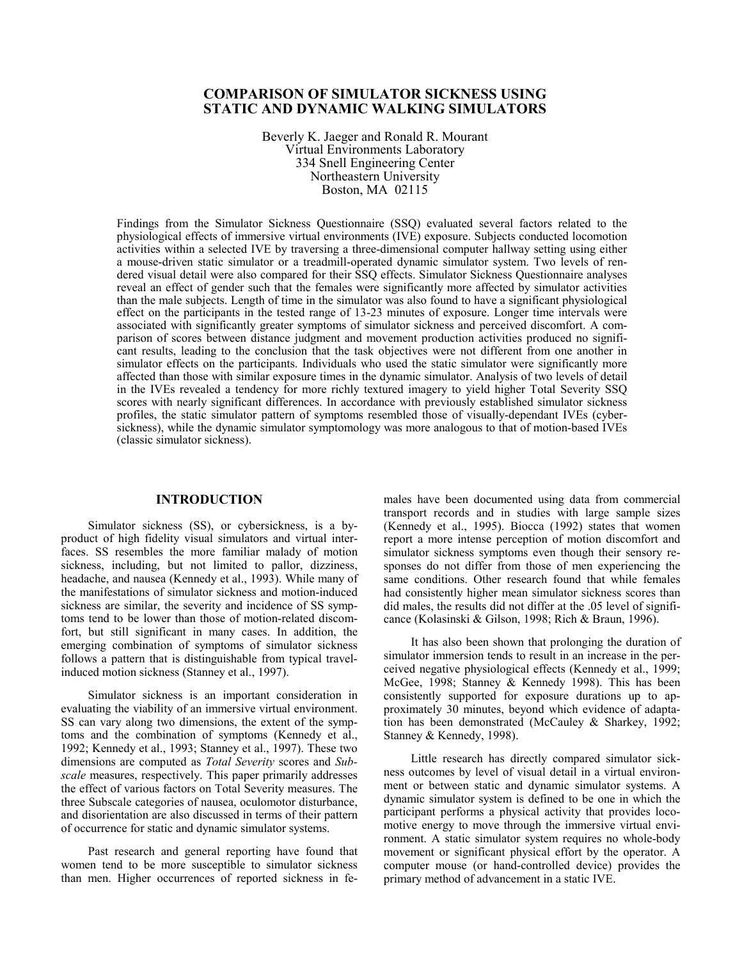# **COMPARISON OF SIMULATOR SICKNESS USING STATIC AND DYNAMIC WALKING SIMULATORS**

Beverly K. Jaeger and Ronald R. Mourant Virtual Environments Laboratory 334 Snell Engineering Center Northeastern University Boston, MA 02115

Findings from the Simulator Sickness Questionnaire (SSQ) evaluated several factors related to the physiological effects of immersive virtual environments (IVE) exposure. Subjects conducted locomotion activities within a selected IVE by traversing a three-dimensional computer hallway setting using either a mouse-driven static simulator or a treadmill-operated dynamic simulator system. Two levels of rendered visual detail were also compared for their SSQ effects. Simulator Sickness Questionnaire analyses reveal an effect of gender such that the females were significantly more affected by simulator activities than the male subjects. Length of time in the simulator was also found to have a significant physiological effect on the participants in the tested range of 13-23 minutes of exposure. Longer time intervals were associated with significantly greater symptoms of simulator sickness and perceived discomfort. A comparison of scores between distance judgment and movement production activities produced no significant results, leading to the conclusion that the task objectives were not different from one another in simulator effects on the participants. Individuals who used the static simulator were significantly more affected than those with similar exposure times in the dynamic simulator. Analysis of two levels of detail in the IVEs revealed a tendency for more richly textured imagery to yield higher Total Severity SSQ scores with nearly significant differences. In accordance with previously established simulator sickness profiles, the static simulator pattern of symptoms resembled those of visually-dependant IVEs (cybersickness), while the dynamic simulator symptomology was more analogous to that of motion-based IVEs (classic simulator sickness).

## **INTRODUCTION**

Simulator sickness (SS), or cybersickness, is a byproduct of high fidelity visual simulators and virtual interfaces. SS resembles the more familiar malady of motion sickness, including, but not limited to pallor, dizziness, headache, and nausea (Kennedy et al., 1993). While many of the manifestations of simulator sickness and motion-induced sickness are similar, the severity and incidence of SS symptoms tend to be lower than those of motion-related discomfort, but still significant in many cases. In addition, the emerging combination of symptoms of simulator sickness follows a pattern that is distinguishable from typical travelinduced motion sickness (Stanney et al., 1997).

Simulator sickness is an important consideration in evaluating the viability of an immersive virtual environment. SS can vary along two dimensions, the extent of the symptoms and the combination of symptoms (Kennedy et al., 1992; Kennedy et al., 1993; Stanney et al., 1997). These two dimensions are computed as *Total Severity* scores and *Subscale* measures, respectively. This paper primarily addresses the effect of various factors on Total Severity measures. The three Subscale categories of nausea, oculomotor disturbance, and disorientation are also discussed in terms of their pattern of occurrence for static and dynamic simulator systems.

Past research and general reporting have found that women tend to be more susceptible to simulator sickness than men. Higher occurrences of reported sickness in females have been documented using data from commercial transport records and in studies with large sample sizes (Kennedy et al., 1995). Biocca (1992) states that women report a more intense perception of motion discomfort and simulator sickness symptoms even though their sensory responses do not differ from those of men experiencing the same conditions. Other research found that while females had consistently higher mean simulator sickness scores than did males, the results did not differ at the .05 level of significance (Kolasinski & Gilson, 1998; Rich & Braun, 1996).

It has also been shown that prolonging the duration of simulator immersion tends to result in an increase in the perceived negative physiological effects (Kennedy et al., 1999; McGee, 1998; Stanney & Kennedy 1998). This has been consistently supported for exposure durations up to approximately 30 minutes, beyond which evidence of adaptation has been demonstrated (McCauley & Sharkey, 1992; Stanney & Kennedy, 1998).

Little research has directly compared simulator sickness outcomes by level of visual detail in a virtual environment or between static and dynamic simulator systems. A dynamic simulator system is defined to be one in which the participant performs a physical activity that provides locomotive energy to move through the immersive virtual environment. A static simulator system requires no whole-body movement or significant physical effort by the operator. A computer mouse (or hand-controlled device) provides the primary method of advancement in a static IVE.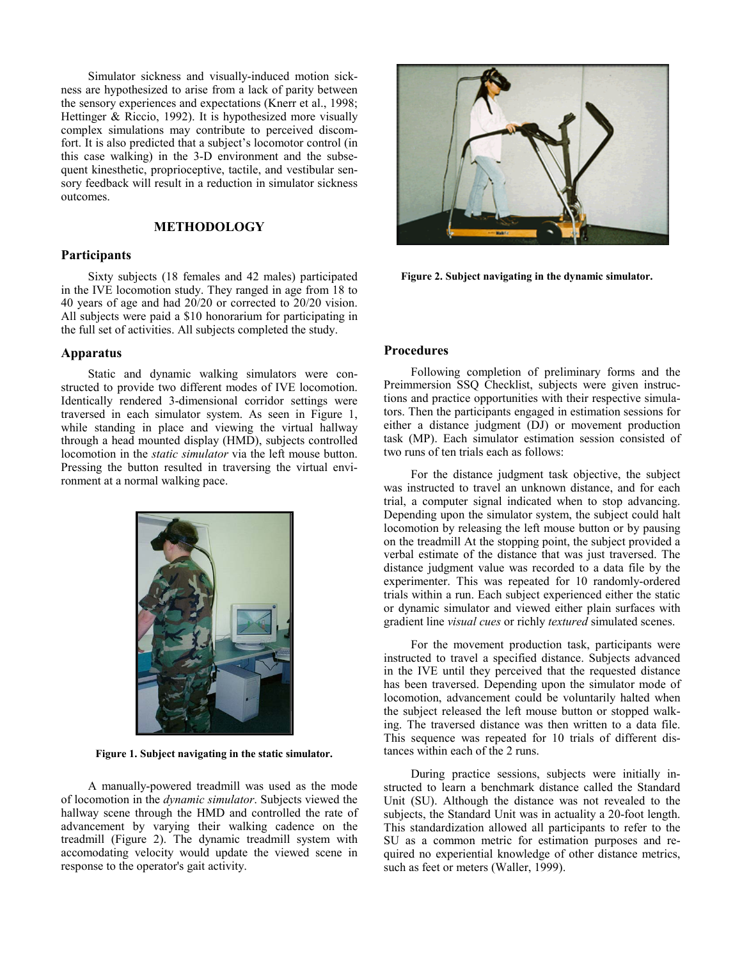Simulator sickness and visually-induced motion sickness are hypothesized to arise from a lack of parity between the sensory experiences and expectations (Knerr et al., 1998; Hettinger & Riccio, 1992). It is hypothesized more visually complex simulations may contribute to perceived discomfort. It is also predicted that a subject's locomotor control (in this case walking) in the 3-D environment and the subsequent kinesthetic, proprioceptive, tactile, and vestibular sensory feedback will result in a reduction in simulator sickness outcomes.

## **METHODOLOGY**

### **Participants**

Sixty subjects (18 females and 42 males) participated in the IVE locomotion study. They ranged in age from 18 to 40 years of age and had 20/20 or corrected to 20/20 vision. All subjects were paid a \$10 honorarium for participating in the full set of activities. All subjects completed the study.

### **Apparatus**

Static and dynamic walking simulators were constructed to provide two different modes of IVE locomotion. Identically rendered 3-dimensional corridor settings were traversed in each simulator system. As seen in Figure 1, while standing in place and viewing the virtual hallway through a head mounted display (HMD), subjects controlled locomotion in the *static simulator* via the left mouse button. Pressing the button resulted in traversing the virtual environment at a normal walking pace.



**Figure 1. Subject navigating in the static simulator.** tances within each of the 2 runs.

A manually-powered treadmill was used as the mode of locomotion in the *dynamic simulator*. Subjects viewed the hallway scene through the HMD and controlled the rate of advancement by varying their walking cadence on the treadmill (Figure 2). The dynamic treadmill system with accomodating velocity would update the viewed scene in response to the operator's gait activity.



**Figure 2. Subject navigating in the dynamic simulator.**

## **Procedures**

Following completion of preliminary forms and the Preimmersion SSQ Checklist, subjects were given instructions and practice opportunities with their respective simulators. Then the participants engaged in estimation sessions for either a distance judgment (DJ) or movement production task (MP). Each simulator estimation session consisted of two runs of ten trials each as follows:

For the distance judgment task objective, the subject was instructed to travel an unknown distance, and for each trial, a computer signal indicated when to stop advancing. Depending upon the simulator system, the subject could halt locomotion by releasing the left mouse button or by pausing on the treadmill At the stopping point, the subject provided a verbal estimate of the distance that was just traversed. The distance judgment value was recorded to a data file by the experimenter. This was repeated for 10 randomly-ordered trials within a run. Each subject experienced either the static or dynamic simulator and viewed either plain surfaces with gradient line *visual cues* or richly *textured* simulated scenes.

For the movement production task, participants were instructed to travel a specified distance. Subjects advanced in the IVE until they perceived that the requested distance has been traversed. Depending upon the simulator mode of locomotion, advancement could be voluntarily halted when the subject released the left mouse button or stopped walking. The traversed distance was then written to a data file. This sequence was repeated for 10 trials of different dis-

During practice sessions, subjects were initially instructed to learn a benchmark distance called the Standard Unit (SU). Although the distance was not revealed to the subjects, the Standard Unit was in actuality a 20-foot length. This standardization allowed all participants to refer to the SU as a common metric for estimation purposes and required no experiential knowledge of other distance metrics, such as feet or meters (Waller, 1999).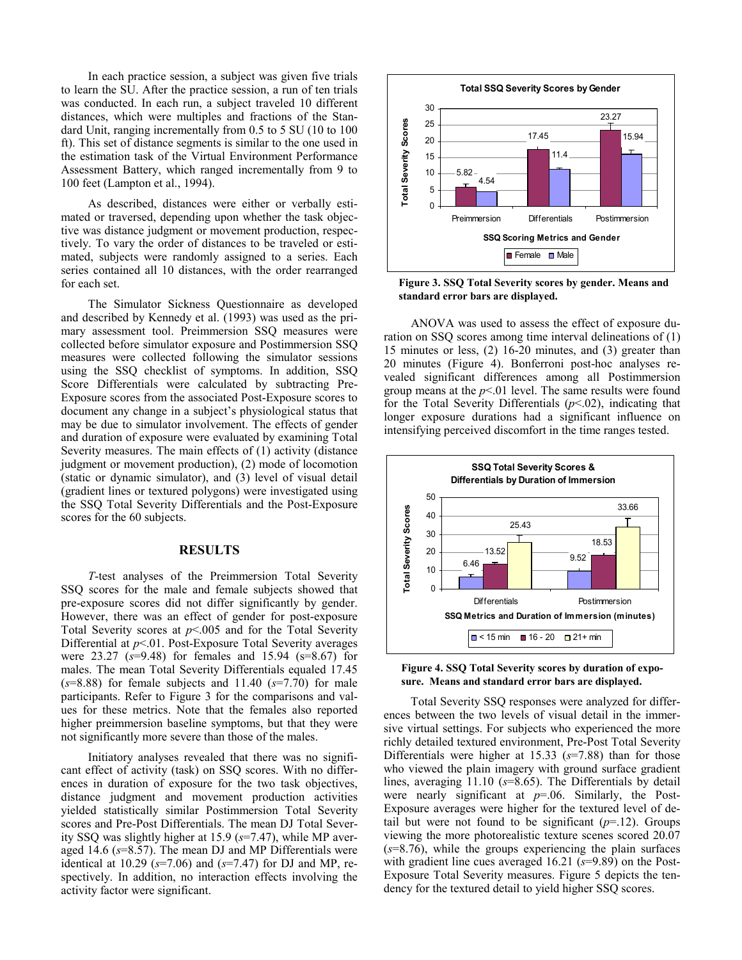In each practice session, a subject was given five trials to learn the SU. After the practice session, a run of ten trials was conducted. In each run, a subject traveled 10 different distances, which were multiples and fractions of the Standard Unit, ranging incrementally from 0.5 to 5 SU (10 to 100 ft). This set of distance segments is similar to the one used in the estimation task of the Virtual Environment Performance Assessment Battery, which ranged incrementally from 9 to 100 feet (Lampton et al., 1994).

As described, distances were either or verbally estimated or traversed, depending upon whether the task objective was distance judgment or movement production, respectively. To vary the order of distances to be traveled or estimated, subjects were randomly assigned to a series. Each series contained all 10 distances, with the order rearranged for each set.

The Simulator Sickness Questionnaire as developed and described by Kennedy et al. (1993) was used as the primary assessment tool. Preimmersion SSQ measures were collected before simulator exposure and Postimmersion SSQ measures were collected following the simulator sessions using the SSQ checklist of symptoms. In addition, SSQ Score Differentials were calculated by subtracting Pre-Exposure scores from the associated Post-Exposure scores to document any change in a subject's physiological status that may be due to simulator involvement. The effects of gender and duration of exposure were evaluated by examining Total Severity measures. The main effects of (1) activity (distance judgment or movement production), (2) mode of locomotion (static or dynamic simulator), and (3) level of visual detail (gradient lines or textured polygons) were investigated using the SSQ Total Severity Differentials and the Post-Exposure scores for the 60 subjects.

#### **RESULTS**

*T*-test analyses of the Preimmersion Total Severity SSQ scores for the male and female subjects showed that pre-exposure scores did not differ significantly by gender. However, there was an effect of gender for post-exposure Total Severity scores at *p*<.005 and for the Total Severity Differential at  $p<01$ . Post-Exposure Total Severity averages were 23.27 (*s*=9.48) for females and 15.94 (s=8.67) for males. The mean Total Severity Differentials equaled 17.45 (*s*=8.88) for female subjects and 11.40 (*s*=7.70) for male participants. Refer to Figure 3 for the comparisons and values for these metrics. Note that the females also reported higher preimmersion baseline symptoms, but that they were not significantly more severe than those of the males.

Initiatory analyses revealed that there was no significant effect of activity (task) on SSQ scores. With no differences in duration of exposure for the two task objectives, distance judgment and movement production activities yielded statistically similar Postimmersion Total Severity scores and Pre-Post Differentials. The mean DJ Total Severity SSQ was slightly higher at 15.9 (*s*=7.47), while MP averaged 14.6 (*s*=8.57). The mean DJ and MP Differentials were identical at 10.29 (*s*=7.06) and (*s*=7.47) for DJ and MP, respectively. In addition, no interaction effects involving the activity factor were significant.



**Figure 3. SSQ Total Severity scores by gender. Means and standard error bars are displayed.**

ANOVA was used to assess the effect of exposure duration on SSQ scores among time interval delineations of (1) 15 minutes or less, (2) 16-20 minutes, and (3) greater than 20 minutes (Figure 4). Bonferroni post-hoc analyses revealed significant differences among all Postimmersion group means at the  $p<01$  level. The same results were found for the Total Severity Differentials (*p*<.02), indicating that longer exposure durations had a significant influence on intensifying perceived discomfort in the time ranges tested.





Total Severity SSQ responses were analyzed for differences between the two levels of visual detail in the immersive virtual settings. For subjects who experienced the more richly detailed textured environment, Pre-Post Total Severity Differentials were higher at 15.33 (*s*=7.88) than for those who viewed the plain imagery with ground surface gradient lines, averaging 11.10 (*s*=8.65). The Differentials by detail were nearly significant at *p*=.06. Similarly, the Post-Exposure averages were higher for the textured level of detail but were not found to be significant  $(p=12)$ . Groups viewing the more photorealistic texture scenes scored 20.07 (*s*=8.76), while the groups experiencing the plain surfaces with gradient line cues averaged 16.21 ( $s=9.89$ ) on the Post-Exposure Total Severity measures. Figure 5 depicts the tendency for the textured detail to yield higher SSQ scores.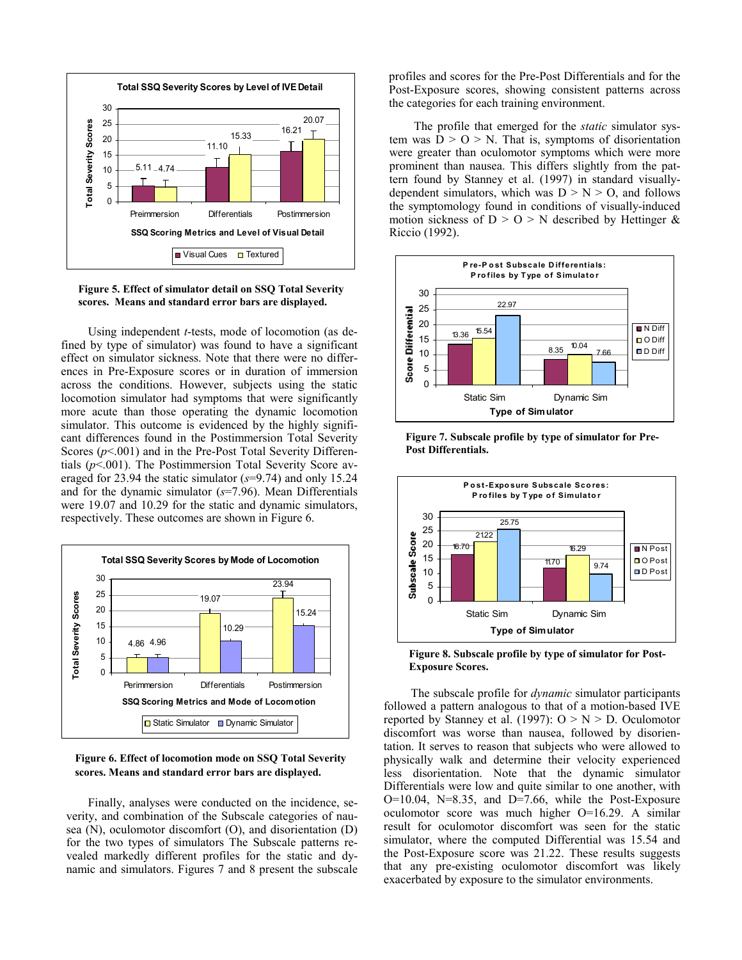

**Figure 5. Effect of simulator detail on SSQ Total Severity scores. Means and standard error bars are displayed.**

Using independent *t*-tests, mode of locomotion (as defined by type of simulator) was found to have a significant effect on simulator sickness. Note that there were no differences in Pre-Exposure scores or in duration of immersion across the conditions. However, subjects using the static locomotion simulator had symptoms that were significantly more acute than those operating the dynamic locomotion simulator. This outcome is evidenced by the highly significant differences found in the Postimmersion Total Severity Scores ( $p$ <.001) and in the Pre-Post Total Severity Differentials (*p*<.001). The Postimmersion Total Severity Score averaged for 23.94 the static simulator (*s*=9.74) and only 15.24 and for the dynamic simulator (*s*=7.96). Mean Differentials were 19.07 and 10.29 for the static and dynamic simulators, respectively. These outcomes are shown in Figure 6.



**Figure 6. Effect of locomotion mode on SSQ Total Severity scores. Means and standard error bars are displayed.** 

Finally, analyses were conducted on the incidence, severity, and combination of the Subscale categories of nausea (N), oculomotor discomfort (O), and disorientation (D) for the two types of simulators The Subscale patterns revealed markedly different profiles for the static and dynamic and simulators. Figures 7 and 8 present the subscale profiles and scores for the Pre-Post Differentials and for the Post-Exposure scores, showing consistent patterns across the categories for each training environment.

The profile that emerged for the *static* simulator system was  $D > O > N$ . That is, symptoms of disorientation were greater than oculomotor symptoms which were more prominent than nausea. This differs slightly from the pattern found by Stanney et al. (1997) in standard visuallydependent simulators, which was  $D > N > O$ , and follows the symptomology found in conditions of visually-induced motion sickness of  $D > 0 > N$  described by Hettinger & Riccio (1992).





**Figure 7. Subscale profile by type of simulator for Pre-Post Differentials.**

**Figure 8. Subscale profile by type of simulator for Post-Exposure Scores.**

The subscale profile for *dynamic* simulator participants followed a pattern analogous to that of a motion-based IVE reported by Stanney et al. (1997):  $O > N > D$ . Oculomotor discomfort was worse than nausea, followed by disorientation. It serves to reason that subjects who were allowed to physically walk and determine their velocity experienced less disorientation. Note that the dynamic simulator Differentials were low and quite similar to one another, with  $O=10.04$ ,  $N=8.35$ , and  $D=7.66$ , while the Post-Exposure oculomotor score was much higher O=16.29. A similar result for oculomotor discomfort was seen for the static simulator, where the computed Differential was 15.54 and the Post-Exposure score was 21.22. These results suggests that any pre-existing oculomotor discomfort was likely exacerbated by exposure to the simulator environments.